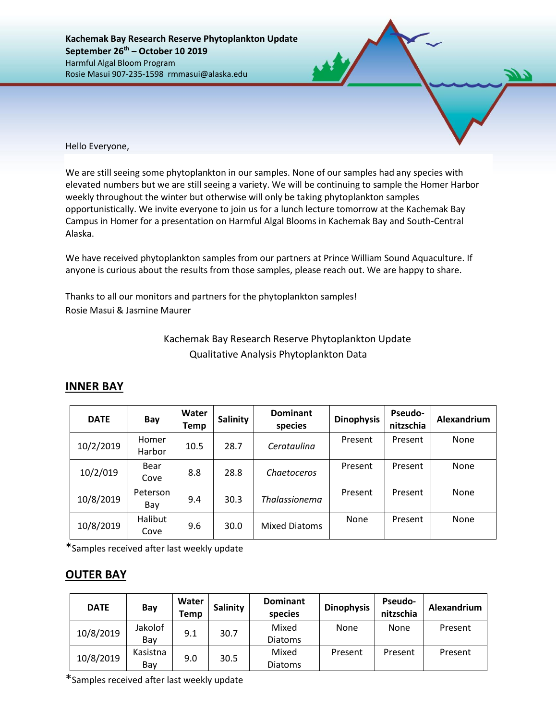**Kachemak Bay Research Reserve Phytoplankton Update September 26th – October 10 2019** Harmful Algal Bloom Program Rosie Masui 907-235-1598 rmmasui@alaska.edu

Hello Everyone,

We are still seeing some phytoplankton in our samples. None of our samples had any species with elevated numbers but we are still seeing a variety. We will be continuing to sample the Homer Harbor weekly throughout the winter but otherwise will only be taking phytoplankton samples opportunistically. We invite everyone to join us for a lunch lecture tomorrow at the Kachemak Bay Campus in Homer for a presentation on Harmful Algal Blooms in Kachemak Bay and South-Central Alaska.

We have received phytoplankton samples from our partners at Prince William Sound Aquaculture. If anyone is curious about the results from those samples, please reach out. We are happy to share.

Thanks to all our monitors and partners for the phytoplankton samples! Rosie Masui & Jasmine Maurer

## Kachemak Bay Research Reserve Phytoplankton Update Qualitative Analysis Phytoplankton Data

| <b>DATE</b> | Bay             | Water<br>Temp | <b>Salinity</b> | <b>Dominant</b><br>species | <b>Dinophysis</b> | <b>Pseudo-</b><br>nitzschia | Alexandrium |  |
|-------------|-----------------|---------------|-----------------|----------------------------|-------------------|-----------------------------|-------------|--|
| 10/2/2019   | Homer<br>Harbor | 10.5          | 28.7            | Cerataulina                | Present           | Present                     | None        |  |
| 10/2/019    | Bear<br>Cove    | 8.8           | 28.8            | Chaetoceros                | Present           | Present                     | None        |  |
| 10/8/2019   | Peterson<br>Bay | 9.4           | 30.3            | <b>Thalassionema</b>       | Present           | Present                     | None        |  |
| 10/8/2019   | Halibut<br>Cove | 9.6           | 30.0            | <b>Mixed Diatoms</b>       | None              | Present                     | None        |  |

## **INNER BAY**

\*Samples received after last weekly update

## **OUTER BAY**

| <b>DATE</b> | Bay      | Water<br>Temp | Salinity | <b>Dominant</b><br>species | <b>Dinophysis</b> | <b>Pseudo-</b><br>nitzschia | Alexandrium |
|-------------|----------|---------------|----------|----------------------------|-------------------|-----------------------------|-------------|
| 10/8/2019   | Jakolof  | 9.1           | 30.7     | Mixed                      | None              | <b>None</b>                 | Present     |
|             | Bay      |               |          | <b>Diatoms</b>             |                   |                             |             |
| 10/8/2019   | Kasistna | 9.0           | 30.5     | Mixed                      | Present           | Present                     | Present     |
|             | Bay      |               |          | <b>Diatoms</b>             |                   |                             |             |

\*Samples received after last weekly update